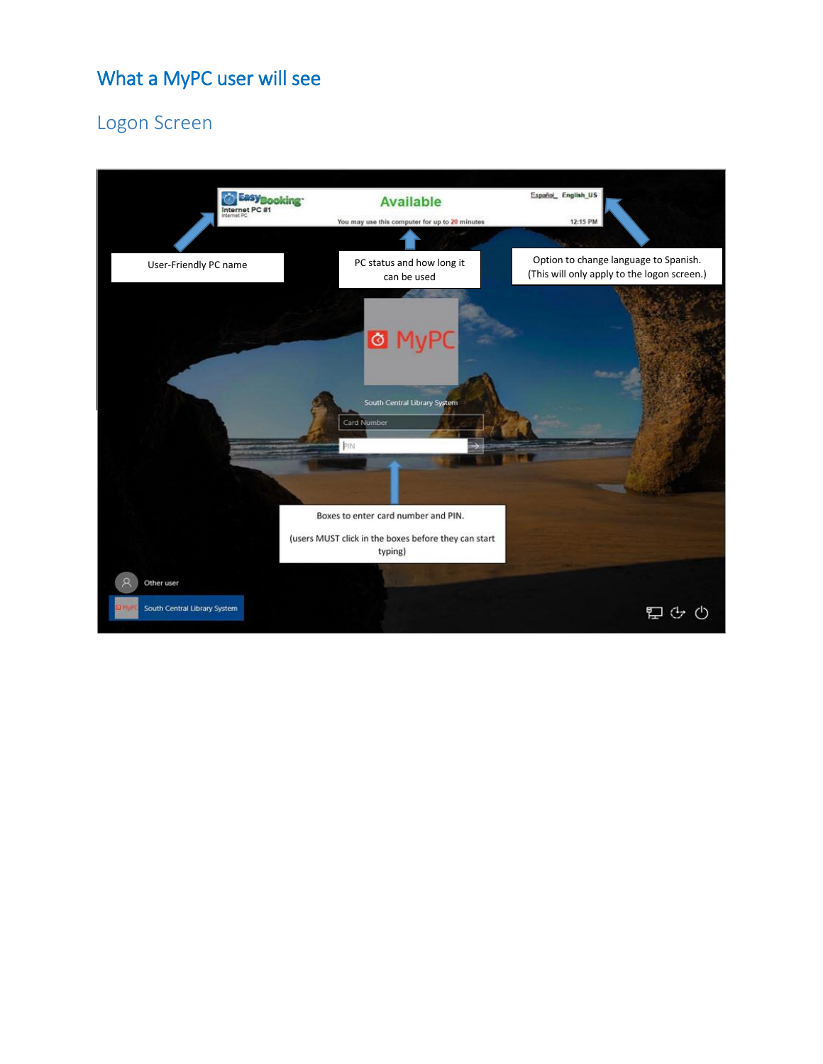# What a MyPC user will see

# Logon Screen